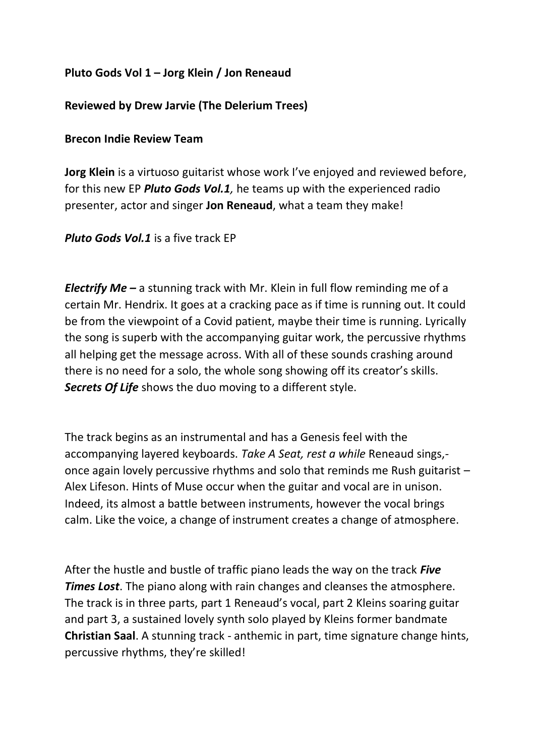## **Pluto Gods Vol 1 – Jorg Klein / Jon Reneaud**

## **Reviewed by Drew Jarvie (The Delerium Trees)**

## **Brecon Indie Review Team**

**Jorg Klein** is a virtuoso guitarist whose work I've enjoyed and reviewed before, for this new EP *Pluto Gods Vol.1,* he teams up with the experienced radio presenter, actor and singer **Jon Reneaud**, what a team they make!

*Pluto Gods Vol.1* is a five track EP

*Electrify Me –* a stunning track with Mr. Klein in full flow reminding me of a certain Mr. Hendrix. It goes at a cracking pace as if time is running out. It could be from the viewpoint of a Covid patient, maybe their time is running. Lyrically the song is superb with the accompanying guitar work, the percussive rhythms all helping get the message across. With all of these sounds crashing around there is no need for a solo, the whole song showing off its creator's skills. *Secrets Of Life* shows the duo moving to a different style.

The track begins as an instrumental and has a Genesis feel with the accompanying layered keyboards. *Take A Seat, rest a while* Reneaud sings, once again lovely percussive rhythms and solo that reminds me Rush guitarist – Alex Lifeson. Hints of Muse occur when the guitar and vocal are in unison. Indeed, its almost a battle between instruments, however the vocal brings calm. Like the voice, a change of instrument creates a change of atmosphere.

After the hustle and bustle of traffic piano leads the way on the track *Five Times Lost*. The piano along with rain changes and cleanses the atmosphere. The track is in three parts, part 1 Reneaud's vocal, part 2 Kleins soaring guitar and part 3, a sustained lovely synth solo played by Kleins former bandmate **Christian Saal**. A stunning track - anthemic in part, time signature change hints, percussive rhythms, they're skilled!